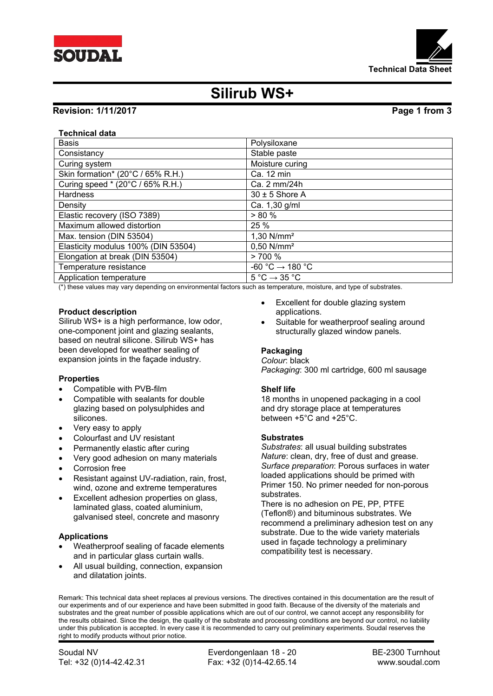



# **Silirub WS+**

# **Revision: 1/11/2017 Page 1 from 3**

# **Technical data**

| <b>Basis</b>                        | Polysiloxane                                |
|-------------------------------------|---------------------------------------------|
| Consistancy                         | Stable paste                                |
| Curing system                       | Moisture curing                             |
| Skin formation* (20°C / 65% R.H.)   | Ca. 12 min                                  |
| Curing speed * (20°C / 65% R.H.)    | Ca. 2 mm/24h                                |
| <b>Hardness</b>                     | $30 \pm 5$ Shore A                          |
| Density                             | Ca. 1,30 g/ml                               |
| Elastic recovery (ISO 7389)         | > 80%                                       |
| Maximum allowed distortion          | 25 %                                        |
| Max. tension (DIN 53504)            | $1,30$ N/mm <sup>2</sup>                    |
| Elasticity modulus 100% (DIN 53504) | $0,50$ N/mm <sup>2</sup>                    |
| Elongation at break (DIN 53504)     | >700%                                       |
| Temperature resistance              | -60 °C $\rightarrow$ 180 °C                 |
| Application temperature             | $5^{\circ}$ C $\rightarrow$ 35 $^{\circ}$ C |

(\*) these values may vary depending on environmental factors such as temperature, moisture, and type of substrates.

# **Product description**

Silirub WS+ is a high performance, low odor, one-component joint and glazing sealants, based on neutral silicone. Silirub WS+ has been developed for weather sealing of expansion joints in the façade industry.

### **Properties**

- Compatible with PVB-film
- Compatible with sealants for double glazing based on polysulphides and silicones.
- Very easy to apply
- Colourfast and UV resistant
- Permanently elastic after curing
- Very good adhesion on many materials
- Corrosion free
- Resistant against UV-radiation, rain, frost, wind, ozone and extreme temperatures
- Excellent adhesion properties on glass, laminated glass, coated aluminium, galvanised steel, concrete and masonry

### **Applications**

- Weatherproof sealing of facade elements and in particular glass curtain walls.
- All usual building, connection, expansion and dilatation joints.
- Excellent for double glazing system applications.
- Suitable for weatherproof sealing around structurally glazed window panels.

# **Packaging**

## *Colour*: black

*Packaging*: 300 ml cartridge, 600 ml sausage

### **Shelf life**

18 months in unopened packaging in a cool and dry storage place at temperatures between +5°C and +25°C.

### **Substrates**

*Substrates*: all usual building substrates *Nature*: clean, dry, free of dust and grease. *Surface preparation*: Porous surfaces in water loaded applications should be primed with Primer 150. No primer needed for non-porous substrates.

There is no adhesion on PE, PP, PTFE (Teflon®) and bituminous substrates. We recommend a preliminary adhesion test on any substrate. Due to the wide variety materials used in façade technology a preliminary compatibility test is necessary.

Remark: This technical data sheet replaces al previous versions. The directives contained in this documentation are the result of our experiments and of our experience and have been submitted in good faith. Because of the diversity of the materials and substrates and the great number of possible applications which are out of our control, we cannot accept any responsibility for the results obtained. Since the design, the quality of the substrate and processing conditions are beyond our control, no liability under this publication is accepted. In every case it is recommended to carry out preliminary experiments. Soudal reserves the right to modify products without prior notice.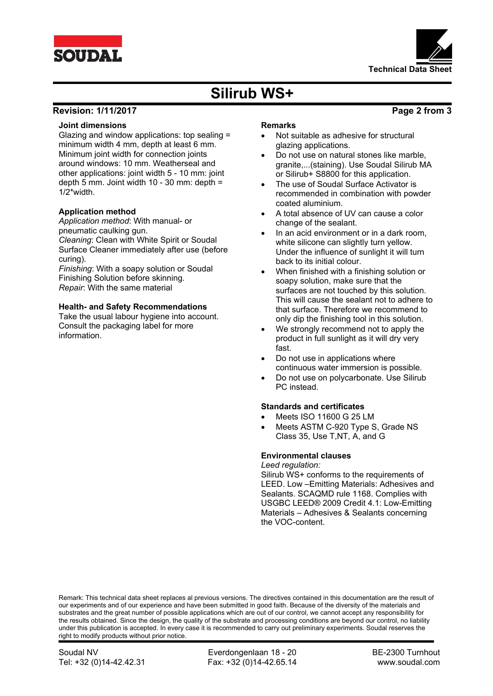



# **Silirub WS+**

# **Revision: 1/11/2017 Page 2 from 3**

## **Joint dimensions**

Glazing and window applications: top sealing = minimum width 4 mm, depth at least 6 mm. Minimum joint width for connection joints around windows: 10 mm. Weatherseal and other applications: joint width 5 - 10 mm: joint depth 5 mm. Joint width 10 - 30 mm: depth = 1/2\*width.

# **Application method**

*Application method*: With manual- or pneumatic caulking gun. *Cleaning*: Clean with White Spirit or Soudal Surface Cleaner immediately after use (before curing).

*Finishing*: With a soapy solution or Soudal Finishing Solution before skinning. *Repair*: With the same material

# **Health- and Safety Recommendations**

Take the usual labour hygiene into account. Consult the packaging label for more information.

#### **Remarks**

- Not suitable as adhesive for structural glazing applications.
- Do not use on natural stones like marble, granite,...(staining). Use Soudal Silirub MA or Silirub+ S8800 for this application.
- The use of Soudal Surface Activator is recommended in combination with powder coated aluminium.
- A total absence of UV can cause a color change of the sealant.
- In an acid environment or in a dark room, white silicone can slightly turn yellow. Under the influence of sunlight it will turn back to its initial colour.
- When finished with a finishing solution or soapy solution, make sure that the surfaces are not touched by this solution. This will cause the sealant not to adhere to that surface. Therefore we recommend to only dip the finishing tool in this solution.
- We strongly recommend not to apply the product in full sunlight as it will dry very fast.
- Do not use in applications where continuous water immersion is possible.
- Do not use on polycarbonate. Use Silirub PC instead.

### **Standards and certificates**

- Meets ISO 11600 G 25 LM
- Meets ASTM C-920 Type S, Grade NS Class 35, Use T,NT, A, and G

# **Environmental clauses**

the VOC-content.

*Leed regulation:* Silirub WS+ conforms to the requirements of LEED. Low –Emitting Materials: Adhesives and Sealants. SCAQMD rule 1168. Complies with USGBC LEED® 2009 Credit 4.1: Low-Emitting Materials – Adhesives & Sealants concerning

Remark: This technical data sheet replaces al previous versions. The directives contained in this documentation are the result of our experiments and of our experience and have been submitted in good faith. Because of the diversity of the materials and substrates and the great number of possible applications which are out of our control, we cannot accept any responsibility for the results obtained. Since the design, the quality of the substrate and processing conditions are beyond our control, no liability under this publication is accepted. In every case it is recommended to carry out preliminary experiments. Soudal reserves the right to modify products without prior notice.